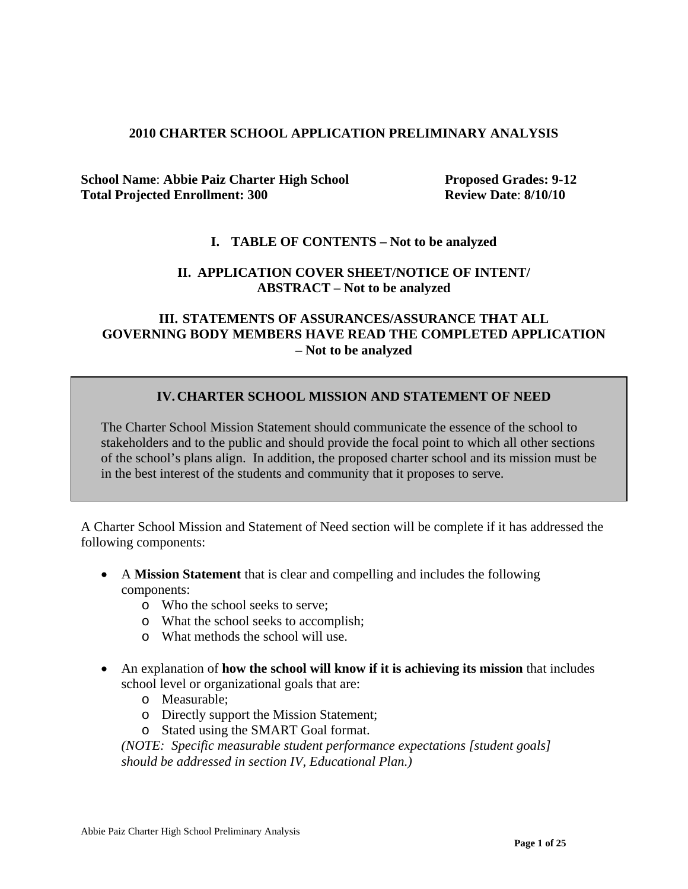### **2010 CHARTER SCHOOL APPLICATION PRELIMINARY ANALYSIS**

**School Name: Abbie Paiz Charter High School Proposed Grades: 9-12 Total Projected Enrollment: 300 Review Date**: **8/10/10**

### **I. TABLE OF CONTENTS – Not to be analyzed**

### **II. APPLICATION COVER SHEET/NOTICE OF INTENT/ ABSTRACT – Not to be analyzed**

# **III. STATEMENTS OF ASSURANCES/ASSURANCE THAT ALL GOVERNING BODY MEMBERS HAVE READ THE COMPLETED APPLICATION – Not to be analyzed**

### **IV.CHARTER SCHOOL MISSION AND STATEMENT OF NEED**

The Charter School Mission Statement should communicate the essence of the school to stakeholders and to the public and should provide the focal point to which all other sections of the school's plans align. In addition, the proposed charter school and its mission must be in the best interest of the students and community that it proposes to serve.

A Charter School Mission and Statement of Need section will be complete if it has addressed the following components:

- A **Mission Statement** that is clear and compelling and includes the following components:
	- o Who the school seeks to serve;
	- o What the school seeks to accomplish;
	- o What methods the school will use.
- An explanation of **how the school will know if it is achieving its mission** that includes school level or organizational goals that are:
	- o Measurable;
	- o Directly support the Mission Statement;
	- o Stated using the SMART Goal format.

*(NOTE: Specific measurable student performance expectations [student goals] should be addressed in section IV, Educational Plan.)*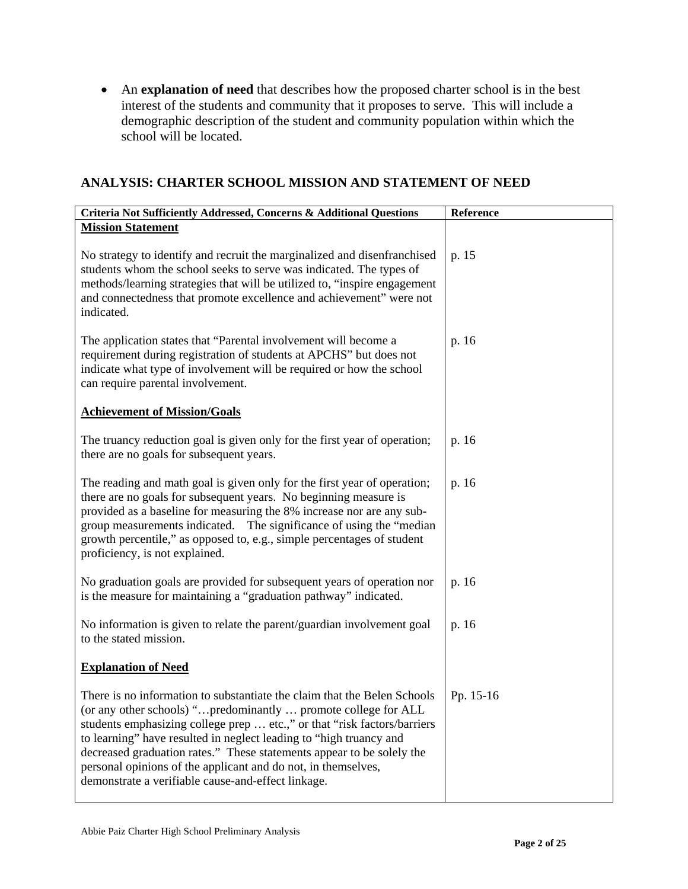• An **explanation of need** that describes how the proposed charter school is in the best interest of the students and community that it proposes to serve. This will include a demographic description of the student and community population within which the school will be located.

# **ANALYSIS: CHARTER SCHOOL MISSION AND STATEMENT OF NEED**

| Criteria Not Sufficiently Addressed, Concerns & Additional Questions                                                                                                                                                                                                                                                                                                                                                                                                                          | Reference |
|-----------------------------------------------------------------------------------------------------------------------------------------------------------------------------------------------------------------------------------------------------------------------------------------------------------------------------------------------------------------------------------------------------------------------------------------------------------------------------------------------|-----------|
| <b>Mission Statement</b>                                                                                                                                                                                                                                                                                                                                                                                                                                                                      |           |
| No strategy to identify and recruit the marginalized and disenfranchised<br>students whom the school seeks to serve was indicated. The types of<br>methods/learning strategies that will be utilized to, "inspire engagement<br>and connectedness that promote excellence and achievement" were not<br>indicated.                                                                                                                                                                             | p. 15     |
| The application states that "Parental involvement will become a<br>requirement during registration of students at APCHS" but does not<br>indicate what type of involvement will be required or how the school<br>can require parental involvement.                                                                                                                                                                                                                                            | p. 16     |
| <b>Achievement of Mission/Goals</b>                                                                                                                                                                                                                                                                                                                                                                                                                                                           |           |
| The truancy reduction goal is given only for the first year of operation;<br>there are no goals for subsequent years.                                                                                                                                                                                                                                                                                                                                                                         | p. 16     |
| The reading and math goal is given only for the first year of operation;<br>there are no goals for subsequent years. No beginning measure is<br>provided as a baseline for measuring the 8% increase nor are any sub-<br>group measurements indicated. The significance of using the "median"<br>growth percentile," as opposed to, e.g., simple percentages of student<br>proficiency, is not explained.                                                                                     | p. 16     |
| No graduation goals are provided for subsequent years of operation nor<br>is the measure for maintaining a "graduation pathway" indicated.                                                                                                                                                                                                                                                                                                                                                    | p. 16     |
| No information is given to relate the parent/guardian involvement goal<br>to the stated mission.                                                                                                                                                                                                                                                                                                                                                                                              | p. 16     |
| <b>Explanation of Need</b>                                                                                                                                                                                                                                                                                                                                                                                                                                                                    |           |
| There is no information to substantiate the claim that the Belen Schools<br>(or any other schools) "predominantly  promote college for ALL<br>students emphasizing college prep  etc.," or that "risk factors/barriers"<br>to learning" have resulted in neglect leading to "high truancy and<br>decreased graduation rates." These statements appear to be solely the<br>personal opinions of the applicant and do not, in themselves,<br>demonstrate a verifiable cause-and-effect linkage. | Pp. 15-16 |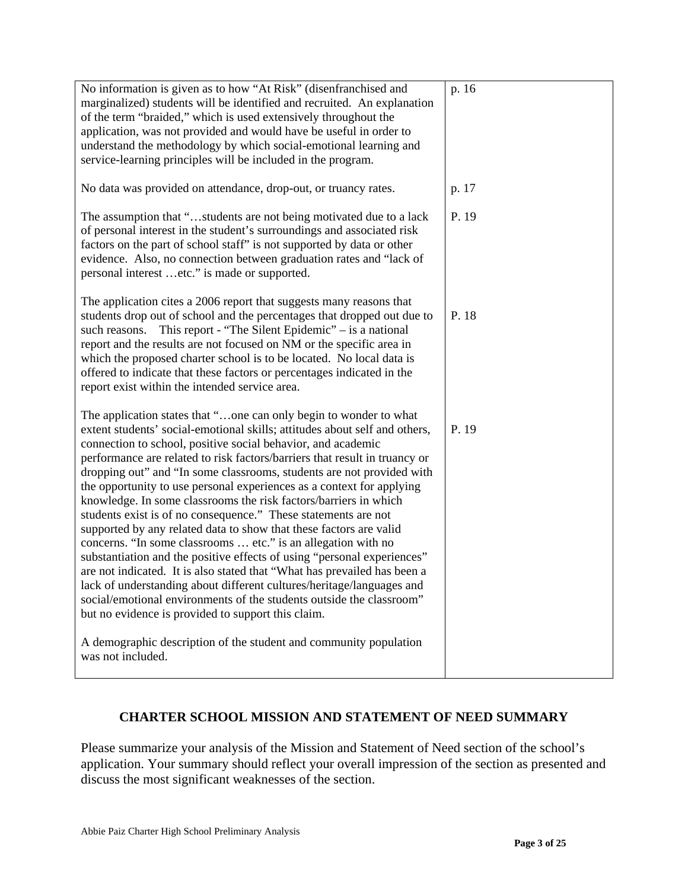| No information is given as to how "At Risk" (disenfranchised and<br>marginalized) students will be identified and recruited. An explanation<br>of the term "braided," which is used extensively throughout the<br>application, was not provided and would have be useful in order to<br>understand the methodology by which social-emotional learning and<br>service-learning principles will be included in the program.                                                                                                                                                                                                                                                                                                                                                                                                                                                                                                                                                                                                                                                                                                                                       | p. 16 |
|-----------------------------------------------------------------------------------------------------------------------------------------------------------------------------------------------------------------------------------------------------------------------------------------------------------------------------------------------------------------------------------------------------------------------------------------------------------------------------------------------------------------------------------------------------------------------------------------------------------------------------------------------------------------------------------------------------------------------------------------------------------------------------------------------------------------------------------------------------------------------------------------------------------------------------------------------------------------------------------------------------------------------------------------------------------------------------------------------------------------------------------------------------------------|-------|
| No data was provided on attendance, drop-out, or truancy rates.                                                                                                                                                                                                                                                                                                                                                                                                                                                                                                                                                                                                                                                                                                                                                                                                                                                                                                                                                                                                                                                                                                 | p. 17 |
| The assumption that "students are not being motivated due to a lack<br>of personal interest in the student's surroundings and associated risk<br>factors on the part of school staff" is not supported by data or other<br>evidence. Also, no connection between graduation rates and "lack of<br>personal interest etc." is made or supported.                                                                                                                                                                                                                                                                                                                                                                                                                                                                                                                                                                                                                                                                                                                                                                                                                 | P. 19 |
| The application cites a 2006 report that suggests many reasons that<br>students drop out of school and the percentages that dropped out due to<br>such reasons. This report - "The Silent Epidemic" – is a national<br>report and the results are not focused on NM or the specific area in<br>which the proposed charter school is to be located. No local data is<br>offered to indicate that these factors or percentages indicated in the<br>report exist within the intended service area.                                                                                                                                                                                                                                                                                                                                                                                                                                                                                                                                                                                                                                                                 | P. 18 |
| The application states that "one can only begin to wonder to what<br>extent students' social-emotional skills; attitudes about self and others,<br>connection to school, positive social behavior, and academic<br>performance are related to risk factors/barriers that result in truancy or<br>dropping out" and "In some classrooms, students are not provided with<br>the opportunity to use personal experiences as a context for applying<br>knowledge. In some classrooms the risk factors/barriers in which<br>students exist is of no consequence." These statements are not<br>supported by any related data to show that these factors are valid<br>concerns. "In some classrooms  etc." is an allegation with no<br>substantiation and the positive effects of using "personal experiences"<br>are not indicated. It is also stated that "What has prevailed has been a<br>lack of understanding about different cultures/heritage/languages and<br>social/emotional environments of the students outside the classroom"<br>but no evidence is provided to support this claim.<br>A demographic description of the student and community population | P. 19 |
| was not included.                                                                                                                                                                                                                                                                                                                                                                                                                                                                                                                                                                                                                                                                                                                                                                                                                                                                                                                                                                                                                                                                                                                                               |       |

# **CHARTER SCHOOL MISSION AND STATEMENT OF NEED SUMMARY**

Please summarize your analysis of the Mission and Statement of Need section of the school's application. Your summary should reflect your overall impression of the section as presented and discuss the most significant weaknesses of the section.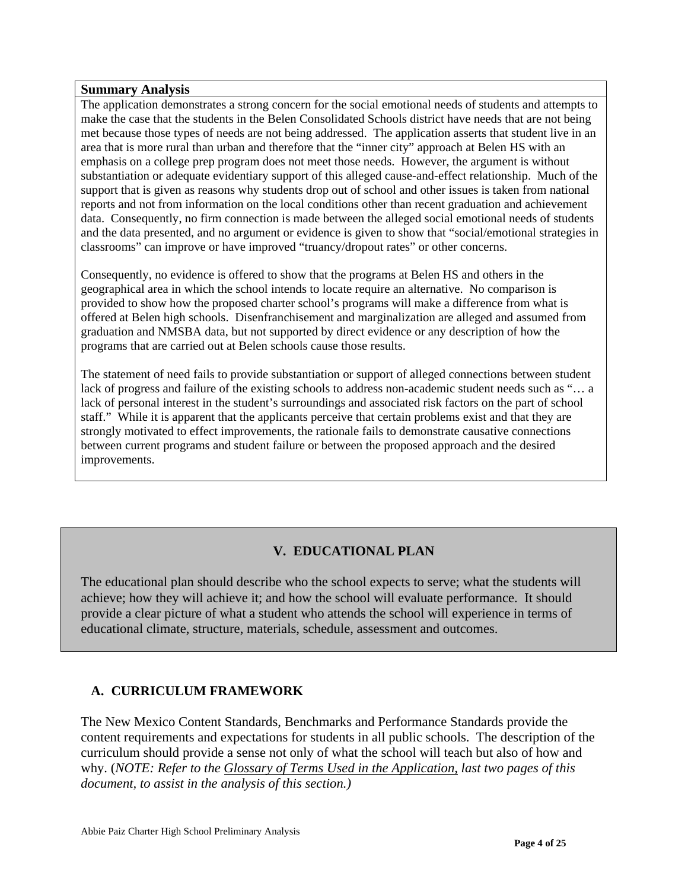#### **Summary Analysis**

The application demonstrates a strong concern for the social emotional needs of students and attempts to make the case that the students in the Belen Consolidated Schools district have needs that are not being met because those types of needs are not being addressed. The application asserts that student live in an area that is more rural than urban and therefore that the "inner city" approach at Belen HS with an emphasis on a college prep program does not meet those needs. However, the argument is without substantiation or adequate evidentiary support of this alleged cause-and-effect relationship. Much of the support that is given as reasons why students drop out of school and other issues is taken from national reports and not from information on the local conditions other than recent graduation and achievement data. Consequently, no firm connection is made between the alleged social emotional needs of students and the data presented, and no argument or evidence is given to show that "social/emotional strategies in classrooms" can improve or have improved "truancy/dropout rates" or other concerns.

Consequently, no evidence is offered to show that the programs at Belen HS and others in the geographical area in which the school intends to locate require an alternative. No comparison is provided to show how the proposed charter school's programs will make a difference from what is offered at Belen high schools. Disenfranchisement and marginalization are alleged and assumed from graduation and NMSBA data, but not supported by direct evidence or any description of how the programs that are carried out at Belen schools cause those results.

The statement of need fails to provide substantiation or support of alleged connections between student lack of progress and failure of the existing schools to address non-academic student needs such as "… a lack of personal interest in the student's surroundings and associated risk factors on the part of school staff." While it is apparent that the applicants perceive that certain problems exist and that they are strongly motivated to effect improvements, the rationale fails to demonstrate causative connections between current programs and student failure or between the proposed approach and the desired improvements.

# **V. EDUCATIONAL PLAN**

The educational plan should describe who the school expects to serve; what the students will achieve; how they will achieve it; and how the school will evaluate performance. It should provide a clear picture of what a student who attends the school will experience in terms of educational climate, structure, materials, schedule, assessment and outcomes.

# **A. CURRICULUM FRAMEWORK**

The New Mexico Content Standards, Benchmarks and Performance Standards provide the content requirements and expectations for students in all public schools. The description of the curriculum should provide a sense not only of what the school will teach but also of how and why. (*NOTE: Refer to the Glossary of Terms Used in the Application, last two pages of this document, to assist in the analysis of this section.)*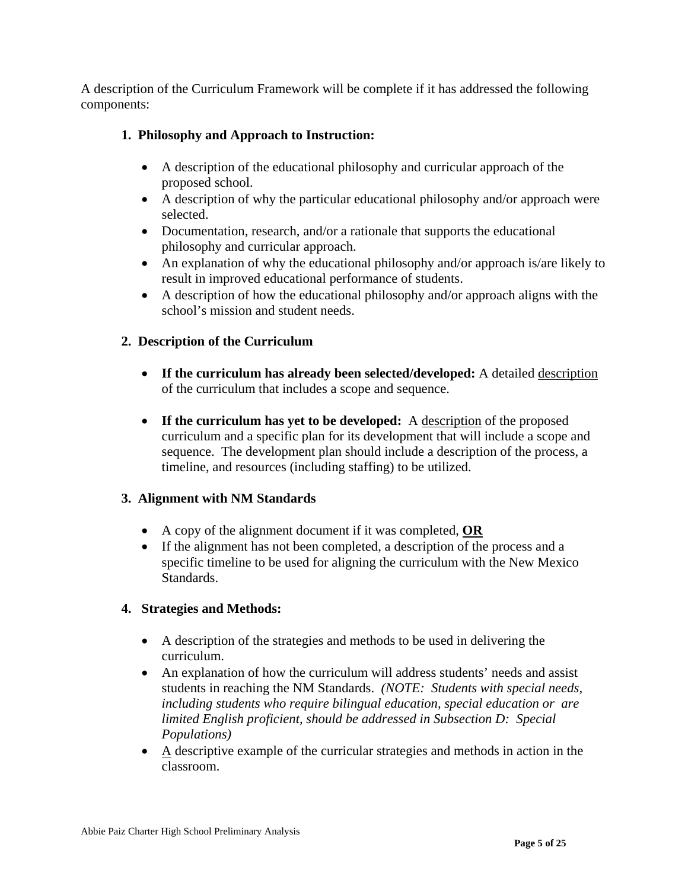A description of the Curriculum Framework will be complete if it has addressed the following components:

# **1. Philosophy and Approach to Instruction:**

- A description of the educational philosophy and curricular approach of the proposed school.
- A description of why the particular educational philosophy and/or approach were selected.
- Documentation, research, and/or a rationale that supports the educational philosophy and curricular approach.
- An explanation of why the educational philosophy and/or approach is/are likely to result in improved educational performance of students.
- A description of how the educational philosophy and/or approach aligns with the school's mission and student needs.

# **2. Description of the Curriculum**

- **If the curriculum has already been selected/developed:** A detailed description of the curriculum that includes a scope and sequence.
- **If the curriculum has yet to be developed:** A description of the proposed curriculum and a specific plan for its development that will include a scope and sequence. The development plan should include a description of the process, a timeline, and resources (including staffing) to be utilized.

# **3. Alignment with NM Standards**

- A copy of the alignment document if it was completed, **OR**
- If the alignment has not been completed, a description of the process and a specific timeline to be used for aligning the curriculum with the New Mexico Standards.

# **4. Strategies and Methods:**

- A description of the strategies and methods to be used in delivering the curriculum.
- An explanation of how the curriculum will address students' needs and assist students in reaching the NM Standards. *(NOTE: Students with special needs, including students who require bilingual education, special education or are limited English proficient, should be addressed in Subsection D: Special Populations)*
- A descriptive example of the curricular strategies and methods in action in the classroom.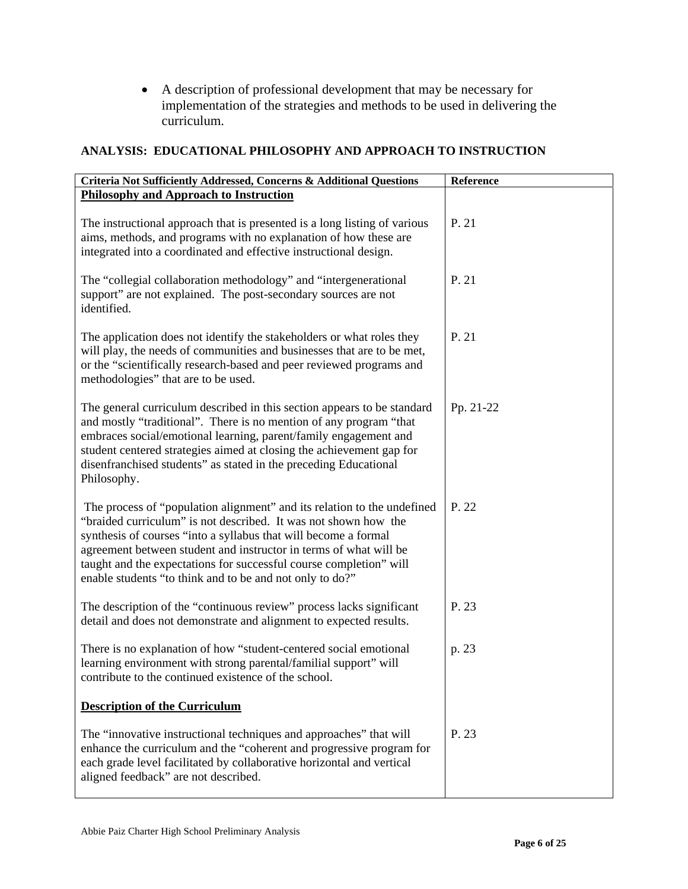• A description of professional development that may be necessary for implementation of the strategies and methods to be used in delivering the curriculum.

# **ANALYSIS: EDUCATIONAL PHILOSOPHY AND APPROACH TO INSTRUCTION**

| Criteria Not Sufficiently Addressed, Concerns & Additional Questions                                                                                                                                                                                                                                                                                                                                                 | Reference |
|----------------------------------------------------------------------------------------------------------------------------------------------------------------------------------------------------------------------------------------------------------------------------------------------------------------------------------------------------------------------------------------------------------------------|-----------|
| <b>Philosophy and Approach to Instruction</b>                                                                                                                                                                                                                                                                                                                                                                        |           |
| The instructional approach that is presented is a long listing of various<br>aims, methods, and programs with no explanation of how these are<br>integrated into a coordinated and effective instructional design.                                                                                                                                                                                                   | P. 21     |
| The "collegial collaboration methodology" and "intergenerational<br>support" are not explained. The post-secondary sources are not<br>identified.                                                                                                                                                                                                                                                                    | P. 21     |
| The application does not identify the stakeholders or what roles they<br>will play, the needs of communities and businesses that are to be met,<br>or the "scientifically research-based and peer reviewed programs and<br>methodologies" that are to be used.                                                                                                                                                       | P. 21     |
| The general curriculum described in this section appears to be standard<br>and mostly "traditional". There is no mention of any program "that<br>embraces social/emotional learning, parent/family engagement and<br>student centered strategies aimed at closing the achievement gap for<br>disenfranchised students" as stated in the preceding Educational<br>Philosophy.                                         | Pp. 21-22 |
| The process of "population alignment" and its relation to the undefined<br>"braided curriculum" is not described. It was not shown how the<br>synthesis of courses "into a syllabus that will become a formal<br>agreement between student and instructor in terms of what will be<br>taught and the expectations for successful course completion" will<br>enable students "to think and to be and not only to do?" | P. 22     |
| The description of the "continuous review" process lacks significant<br>detail and does not demonstrate and alignment to expected results.                                                                                                                                                                                                                                                                           | P. 23     |
| There is no explanation of how "student-centered social emotional<br>learning environment with strong parental/familial support" will<br>contribute to the continued existence of the school.                                                                                                                                                                                                                        | p. 23     |
| <b>Description of the Curriculum</b>                                                                                                                                                                                                                                                                                                                                                                                 |           |
| The "innovative instructional techniques and approaches" that will<br>enhance the curriculum and the "coherent and progressive program for<br>each grade level facilitated by collaborative horizontal and vertical<br>aligned feedback" are not described.                                                                                                                                                          | P. 23     |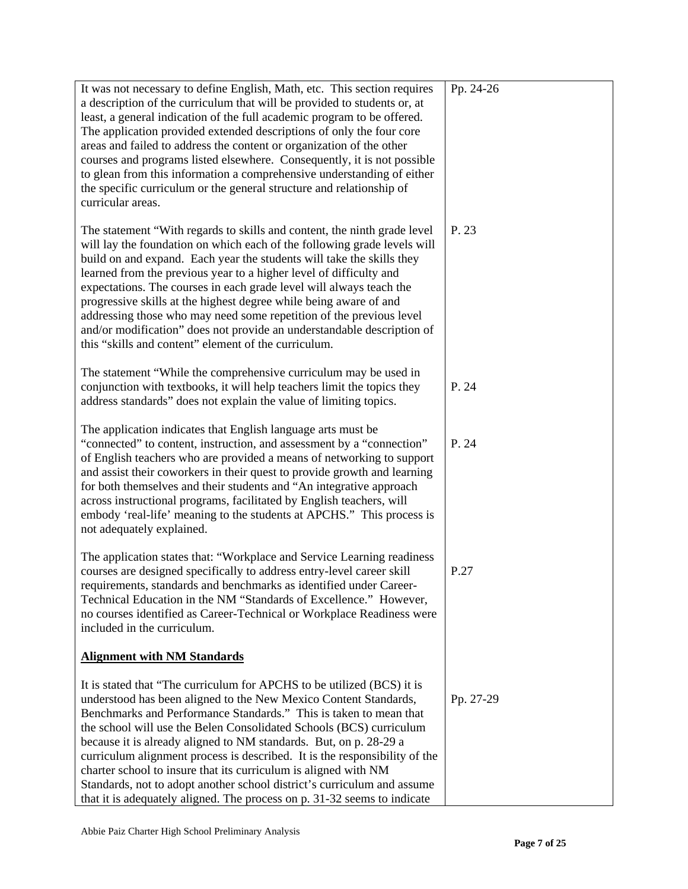| It was not necessary to define English, Math, etc. This section requires<br>a description of the curriculum that will be provided to students or, at<br>least, a general indication of the full academic program to be offered.<br>The application provided extended descriptions of only the four core<br>areas and failed to address the content or organization of the other<br>courses and programs listed elsewhere. Consequently, it is not possible<br>to glean from this information a comprehensive understanding of either<br>the specific curriculum or the general structure and relationship of<br>curricular areas.                                   | Pp. 24-26 |
|---------------------------------------------------------------------------------------------------------------------------------------------------------------------------------------------------------------------------------------------------------------------------------------------------------------------------------------------------------------------------------------------------------------------------------------------------------------------------------------------------------------------------------------------------------------------------------------------------------------------------------------------------------------------|-----------|
| The statement "With regards to skills and content, the ninth grade level<br>will lay the foundation on which each of the following grade levels will<br>build on and expand. Each year the students will take the skills they<br>learned from the previous year to a higher level of difficulty and<br>expectations. The courses in each grade level will always teach the<br>progressive skills at the highest degree while being aware of and<br>addressing those who may need some repetition of the previous level<br>and/or modification" does not provide an understandable description of<br>this "skills and content" element of the curriculum.            | P. 23     |
| The statement "While the comprehensive curriculum may be used in<br>conjunction with textbooks, it will help teachers limit the topics they<br>address standards" does not explain the value of limiting topics.                                                                                                                                                                                                                                                                                                                                                                                                                                                    | P. 24     |
| The application indicates that English language arts must be<br>"connected" to content, instruction, and assessment by a "connection"<br>of English teachers who are provided a means of networking to support<br>and assist their coworkers in their quest to provide growth and learning<br>for both themselves and their students and "An integrative approach<br>across instructional programs, facilitated by English teachers, will<br>embody 'real-life' meaning to the students at APCHS." This process is<br>not adequately explained.                                                                                                                     | P. 24     |
| The application states that: "Workplace and Service Learning readiness"<br>courses are designed specifically to address entry-level career skill<br>requirements, standards and benchmarks as identified under Career-<br>Technical Education in the NM "Standards of Excellence." However,<br>no courses identified as Career-Technical or Workplace Readiness were<br>included in the curriculum.                                                                                                                                                                                                                                                                 | P.27      |
| <b>Alignment with NM Standards</b>                                                                                                                                                                                                                                                                                                                                                                                                                                                                                                                                                                                                                                  |           |
| It is stated that "The curriculum for APCHS to be utilized (BCS) it is<br>understood has been aligned to the New Mexico Content Standards,<br>Benchmarks and Performance Standards." This is taken to mean that<br>the school will use the Belen Consolidated Schools (BCS) curriculum<br>because it is already aligned to NM standards. But, on p. 28-29 a<br>curriculum alignment process is described. It is the responsibility of the<br>charter school to insure that its curriculum is aligned with NM<br>Standards, not to adopt another school district's curriculum and assume<br>that it is adequately aligned. The process on p. 31-32 seems to indicate | Pp. 27-29 |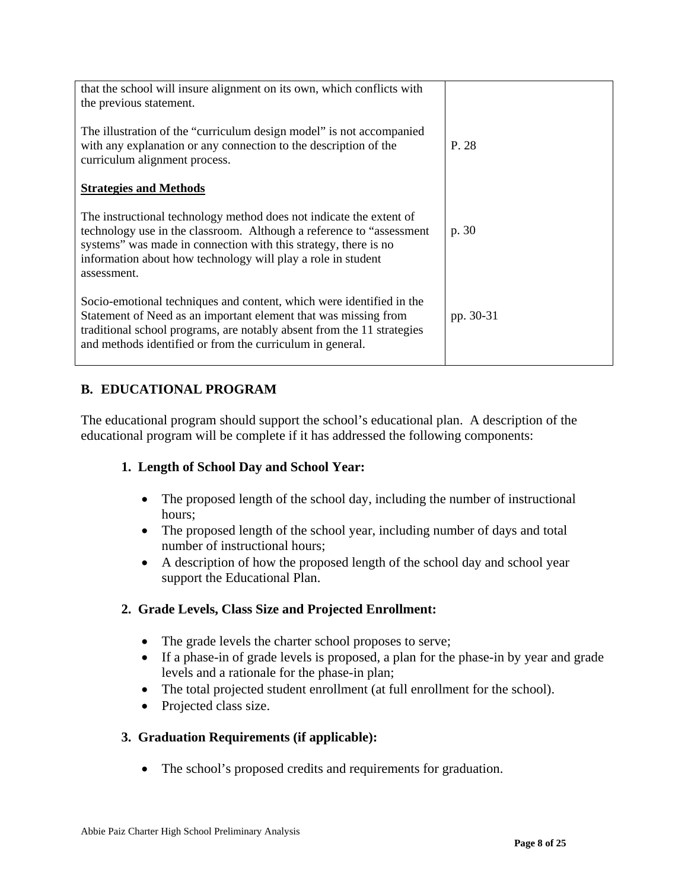| that the school will insure alignment on its own, which conflicts with                                                                                                                                                                                                                         |           |
|------------------------------------------------------------------------------------------------------------------------------------------------------------------------------------------------------------------------------------------------------------------------------------------------|-----------|
| the previous statement.                                                                                                                                                                                                                                                                        |           |
| The illustration of the "curriculum design model" is not accompanied<br>with any explanation or any connection to the description of the<br>curriculum alignment process.                                                                                                                      | P. 28     |
| <b>Strategies and Methods</b>                                                                                                                                                                                                                                                                  |           |
| The instructional technology method does not indicate the extent of<br>technology use in the classroom. Although a reference to "assessment"<br>systems" was made in connection with this strategy, there is no<br>information about how technology will play a role in student<br>assessment. | p. 30     |
| Socio-emotional techniques and content, which were identified in the<br>Statement of Need as an important element that was missing from<br>traditional school programs, are notably absent from the 11 strategies<br>and methods identified or from the curriculum in general.                 | pp. 30-31 |

# **B. EDUCATIONAL PROGRAM**

The educational program should support the school's educational plan. A description of the educational program will be complete if it has addressed the following components:

# **1. Length of School Day and School Year:**

- The proposed length of the school day, including the number of instructional hours;
- The proposed length of the school year, including number of days and total number of instructional hours;
- A description of how the proposed length of the school day and school year support the Educational Plan.

# **2. Grade Levels, Class Size and Projected Enrollment:**

- The grade levels the charter school proposes to serve;
- If a phase-in of grade levels is proposed, a plan for the phase-in by year and grade levels and a rationale for the phase-in plan;
- The total projected student enrollment (at full enrollment for the school).
- Projected class size.

# **3. Graduation Requirements (if applicable):**

• The school's proposed credits and requirements for graduation.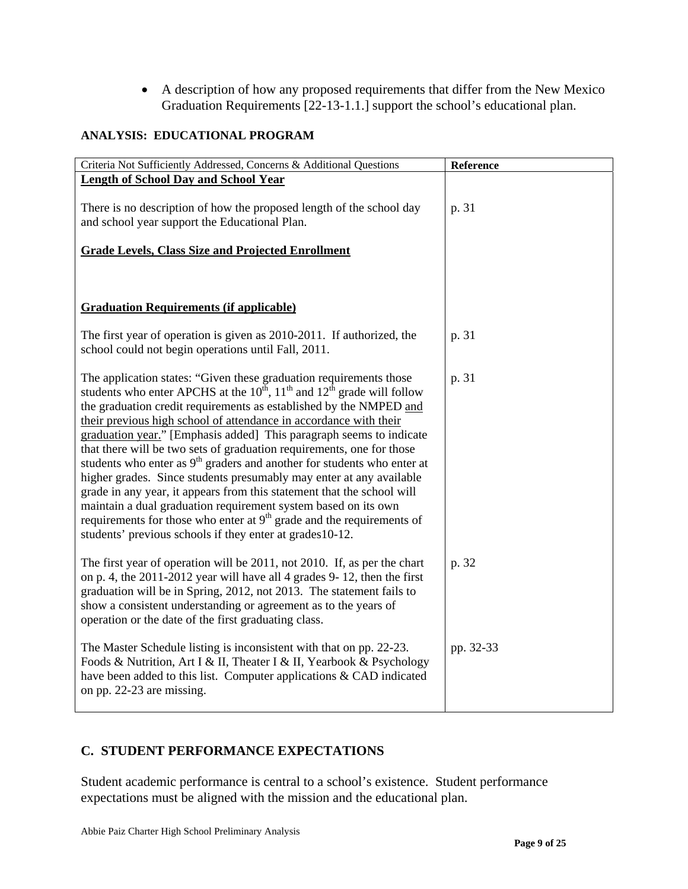• A description of how any proposed requirements that differ from the New Mexico Graduation Requirements [22-13-1.1.] support the school's educational plan.

### **ANALYSIS: EDUCATIONAL PROGRAM**

| Criteria Not Sufficiently Addressed, Concerns & Additional Questions                                                                                                                                                                                                                                                                                                                                                                                                                                                                                                                                                                                                                                                                                                                                                                                                                                                | Reference |
|---------------------------------------------------------------------------------------------------------------------------------------------------------------------------------------------------------------------------------------------------------------------------------------------------------------------------------------------------------------------------------------------------------------------------------------------------------------------------------------------------------------------------------------------------------------------------------------------------------------------------------------------------------------------------------------------------------------------------------------------------------------------------------------------------------------------------------------------------------------------------------------------------------------------|-----------|
| <b>Length of School Day and School Year</b>                                                                                                                                                                                                                                                                                                                                                                                                                                                                                                                                                                                                                                                                                                                                                                                                                                                                         |           |
| There is no description of how the proposed length of the school day<br>and school year support the Educational Plan.                                                                                                                                                                                                                                                                                                                                                                                                                                                                                                                                                                                                                                                                                                                                                                                               | p. 31     |
| <b>Grade Levels, Class Size and Projected Enrollment</b>                                                                                                                                                                                                                                                                                                                                                                                                                                                                                                                                                                                                                                                                                                                                                                                                                                                            |           |
|                                                                                                                                                                                                                                                                                                                                                                                                                                                                                                                                                                                                                                                                                                                                                                                                                                                                                                                     |           |
| <b>Graduation Requirements (if applicable)</b>                                                                                                                                                                                                                                                                                                                                                                                                                                                                                                                                                                                                                                                                                                                                                                                                                                                                      |           |
| The first year of operation is given as 2010-2011. If authorized, the<br>school could not begin operations until Fall, 2011.                                                                                                                                                                                                                                                                                                                                                                                                                                                                                                                                                                                                                                                                                                                                                                                        | p. 31     |
| The application states: "Given these graduation requirements those<br>students who enter APCHS at the $10^{\text{th}}$ , $11^{\text{th}}$ and $12^{\text{th}}$ grade will follow<br>the graduation credit requirements as established by the NMPED and<br>their previous high school of attendance in accordance with their<br>graduation year." [Emphasis added] This paragraph seems to indicate<br>that there will be two sets of graduation requirements, one for those<br>students who enter as $9th$ graders and another for students who enter at<br>higher grades. Since students presumably may enter at any available<br>grade in any year, it appears from this statement that the school will<br>maintain a dual graduation requirement system based on its own<br>requirements for those who enter at $9th$ grade and the requirements of<br>students' previous schools if they enter at grades 10-12. | p. 31     |
| The first year of operation will be 2011, not 2010. If, as per the chart<br>on p. 4, the 2011-2012 year will have all 4 grades 9-12, then the first<br>graduation will be in Spring, 2012, not 2013. The statement fails to<br>show a consistent understanding or agreement as to the years of<br>operation or the date of the first graduating class.                                                                                                                                                                                                                                                                                                                                                                                                                                                                                                                                                              | p. 32     |
| The Master Schedule listing is inconsistent with that on pp. 22-23.<br>Foods & Nutrition, Art I & II, Theater I & II, Yearbook & Psychology<br>have been added to this list. Computer applications & CAD indicated<br>on pp. 22-23 are missing.                                                                                                                                                                                                                                                                                                                                                                                                                                                                                                                                                                                                                                                                     | pp. 32-33 |

# **C. STUDENT PERFORMANCE EXPECTATIONS**

Student academic performance is central to a school's existence. Student performance expectations must be aligned with the mission and the educational plan.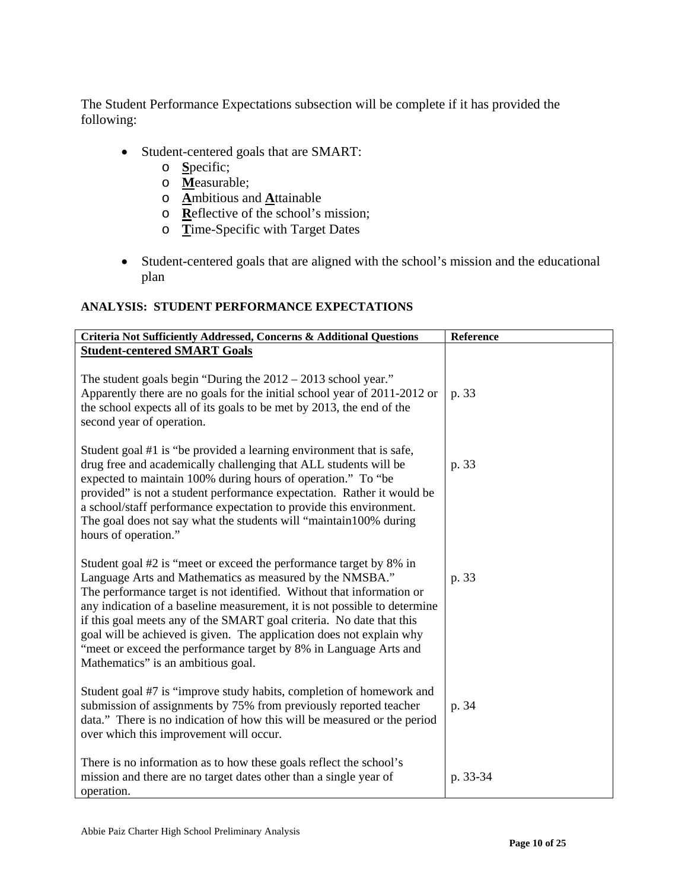The Student Performance Expectations subsection will be complete if it has provided the following:

- Student-centered goals that are SMART:
	- o **S**pecific;
	- o **M**easurable;
	- o **A**mbitious and **A**ttainable
	- o **R**eflective of the school's mission;
	- o **T**ime-Specific with Target Dates
- Student-centered goals that are aligned with the school's mission and the educational plan

#### **ANALYSIS: STUDENT PERFORMANCE EXPECTATIONS**

| Criteria Not Sufficiently Addressed, Concerns & Additional Questions                                                                                                                                                                                                                                                                                                                                                                                                                                                                            | Reference |
|-------------------------------------------------------------------------------------------------------------------------------------------------------------------------------------------------------------------------------------------------------------------------------------------------------------------------------------------------------------------------------------------------------------------------------------------------------------------------------------------------------------------------------------------------|-----------|
| <b>Student-centered SMART Goals</b>                                                                                                                                                                                                                                                                                                                                                                                                                                                                                                             |           |
| The student goals begin "During the $2012 - 2013$ school year."<br>Apparently there are no goals for the initial school year of 2011-2012 or<br>the school expects all of its goals to be met by 2013, the end of the<br>second year of operation.                                                                                                                                                                                                                                                                                              | p. 33     |
| Student goal #1 is "be provided a learning environment that is safe,<br>drug free and academically challenging that ALL students will be<br>expected to maintain 100% during hours of operation." To "be<br>provided" is not a student performance expectation. Rather it would be<br>a school/staff performance expectation to provide this environment.<br>The goal does not say what the students will "maintain100% during<br>hours of operation."                                                                                          | p. 33     |
| Student goal #2 is "meet or exceed the performance target by 8% in<br>Language Arts and Mathematics as measured by the NMSBA."<br>The performance target is not identified. Without that information or<br>any indication of a baseline measurement, it is not possible to determine<br>if this goal meets any of the SMART goal criteria. No date that this<br>goal will be achieved is given. The application does not explain why<br>"meet or exceed the performance target by 8% in Language Arts and<br>Mathematics" is an ambitious goal. | p. 33     |
| Student goal #7 is "improve study habits, completion of homework and<br>submission of assignments by 75% from previously reported teacher<br>data." There is no indication of how this will be measured or the period<br>over which this improvement will occur.                                                                                                                                                                                                                                                                                | p. 34     |
| There is no information as to how these goals reflect the school's<br>mission and there are no target dates other than a single year of<br>operation.                                                                                                                                                                                                                                                                                                                                                                                           | p. 33-34  |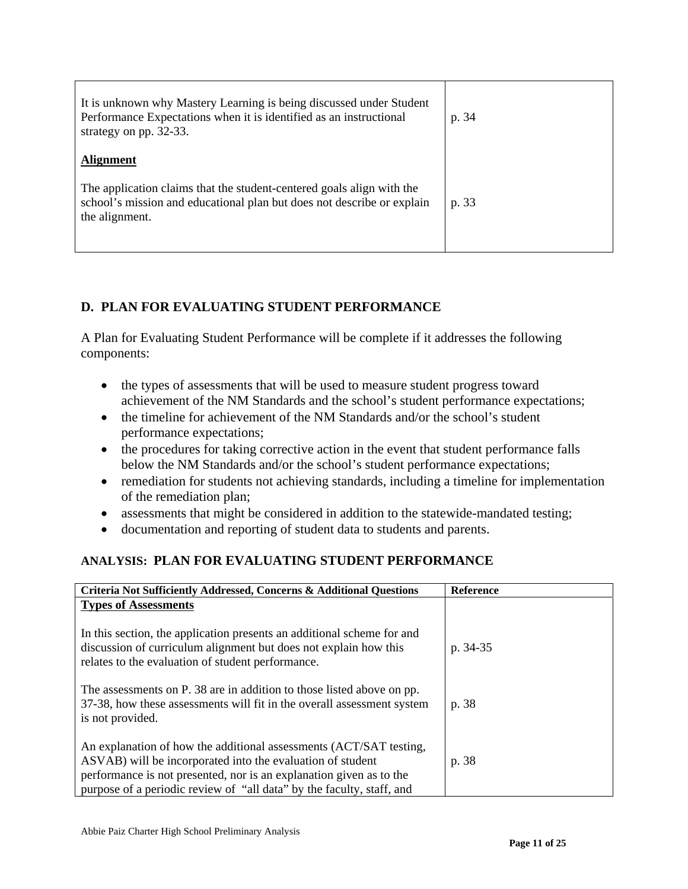| It is unknown why Mastery Learning is being discussed under Student<br>Performance Expectations when it is identified as an instructional<br>strategy on pp. 32-33. | p. 34 |
|---------------------------------------------------------------------------------------------------------------------------------------------------------------------|-------|
| <b>Alignment</b>                                                                                                                                                    |       |
| The application claims that the student-centered goals align with the<br>school's mission and educational plan but does not describe or explain<br>the alignment.   | p. 33 |

# **D. PLAN FOR EVALUATING STUDENT PERFORMANCE**

A Plan for Evaluating Student Performance will be complete if it addresses the following components:

- the types of assessments that will be used to measure student progress toward achievement of the NM Standards and the school's student performance expectations;
- the timeline for achievement of the NM Standards and/or the school's student performance expectations;
- the procedures for taking corrective action in the event that student performance falls below the NM Standards and/or the school's student performance expectations;
- remediation for students not achieving standards, including a timeline for implementation of the remediation plan;
- assessments that might be considered in addition to the statewide-mandated testing;
- documentation and reporting of student data to students and parents.

# **ANALYSIS: PLAN FOR EVALUATING STUDENT PERFORMANCE**

| Criteria Not Sufficiently Addressed, Concerns & Additional Questions   | <b>Reference</b> |
|------------------------------------------------------------------------|------------------|
| <b>Types of Assessments</b>                                            |                  |
|                                                                        |                  |
| In this section, the application presents an additional scheme for and |                  |
| discussion of curriculum alignment but does not explain how this       | p. 34-35         |
| relates to the evaluation of student performance.                      |                  |
|                                                                        |                  |
| The assessments on P. 38 are in addition to those listed above on pp.  |                  |
| 37-38, how these assessments will fit in the overall assessment system | p. 38            |
| is not provided.                                                       |                  |
|                                                                        |                  |
| An explanation of how the additional assessments (ACT/SAT testing,     |                  |
| ASVAB) will be incorporated into the evaluation of student             | p. 38            |
| performance is not presented, nor is an explanation given as to the    |                  |
| purpose of a periodic review of "all data" by the faculty, staff, and  |                  |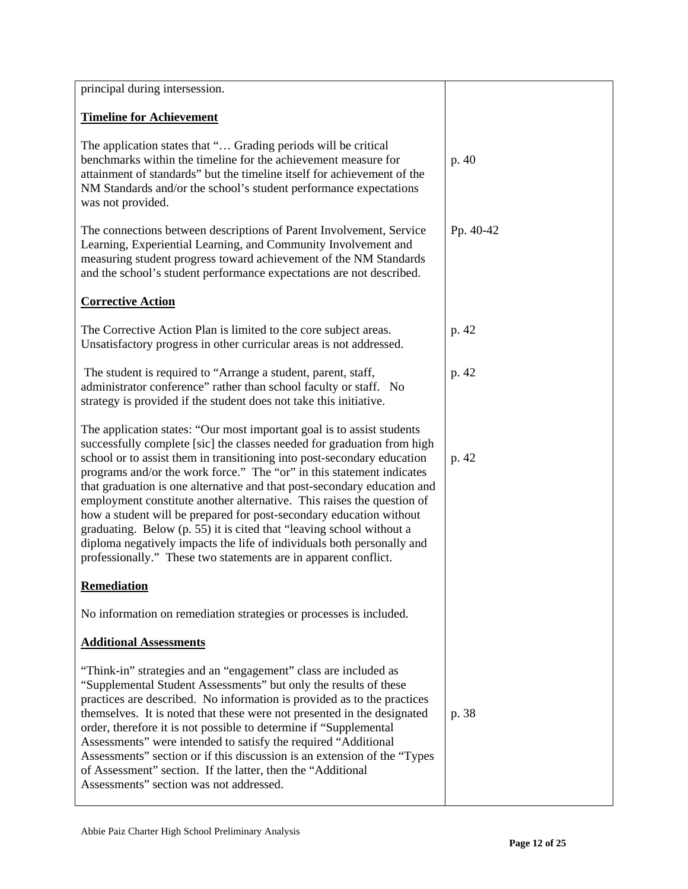| principal during intersession.                                                                                                                                                                                                                                                                                                                                                                                                                                                                                                                                                                                                                                                                                                                          |           |
|---------------------------------------------------------------------------------------------------------------------------------------------------------------------------------------------------------------------------------------------------------------------------------------------------------------------------------------------------------------------------------------------------------------------------------------------------------------------------------------------------------------------------------------------------------------------------------------------------------------------------------------------------------------------------------------------------------------------------------------------------------|-----------|
| <b>Timeline for Achievement</b>                                                                                                                                                                                                                                                                                                                                                                                                                                                                                                                                                                                                                                                                                                                         |           |
| The application states that " Grading periods will be critical<br>benchmarks within the timeline for the achievement measure for<br>attainment of standards" but the timeline itself for achievement of the<br>NM Standards and/or the school's student performance expectations<br>was not provided.                                                                                                                                                                                                                                                                                                                                                                                                                                                   | p. 40     |
| The connections between descriptions of Parent Involvement, Service<br>Learning, Experiential Learning, and Community Involvement and<br>measuring student progress toward achievement of the NM Standards<br>and the school's student performance expectations are not described.                                                                                                                                                                                                                                                                                                                                                                                                                                                                      | Pp. 40-42 |
| <b>Corrective Action</b>                                                                                                                                                                                                                                                                                                                                                                                                                                                                                                                                                                                                                                                                                                                                |           |
| The Corrective Action Plan is limited to the core subject areas.<br>Unsatisfactory progress in other curricular areas is not addressed.                                                                                                                                                                                                                                                                                                                                                                                                                                                                                                                                                                                                                 | p. 42     |
| The student is required to "Arrange a student, parent, staff,<br>administrator conference" rather than school faculty or staff. No<br>strategy is provided if the student does not take this initiative.                                                                                                                                                                                                                                                                                                                                                                                                                                                                                                                                                | p. 42     |
| The application states: "Our most important goal is to assist students<br>successfully complete [sic] the classes needed for graduation from high<br>school or to assist them in transitioning into post-secondary education<br>programs and/or the work force." The "or" in this statement indicates<br>that graduation is one alternative and that post-secondary education and<br>employment constitute another alternative. This raises the question of<br>how a student will be prepared for post-secondary education without<br>graduating. Below (p. 55) it is cited that "leaving school without a<br>diploma negatively impacts the life of individuals both personally and<br>professionally." These two statements are in apparent conflict. | p. 42     |
| <b>Remediation</b>                                                                                                                                                                                                                                                                                                                                                                                                                                                                                                                                                                                                                                                                                                                                      |           |
| No information on remediation strategies or processes is included.                                                                                                                                                                                                                                                                                                                                                                                                                                                                                                                                                                                                                                                                                      |           |
| <b>Additional Assessments</b>                                                                                                                                                                                                                                                                                                                                                                                                                                                                                                                                                                                                                                                                                                                           |           |
| "Think-in" strategies and an "engagement" class are included as<br>"Supplemental Student Assessments" but only the results of these<br>practices are described. No information is provided as to the practices<br>themselves. It is noted that these were not presented in the designated<br>order, therefore it is not possible to determine if "Supplemental<br>Assessments" were intended to satisfy the required "Additional<br>Assessments" section or if this discussion is an extension of the "Types"<br>of Assessment" section. If the latter, then the "Additional<br>Assessments" section was not addressed.                                                                                                                                 | p. 38     |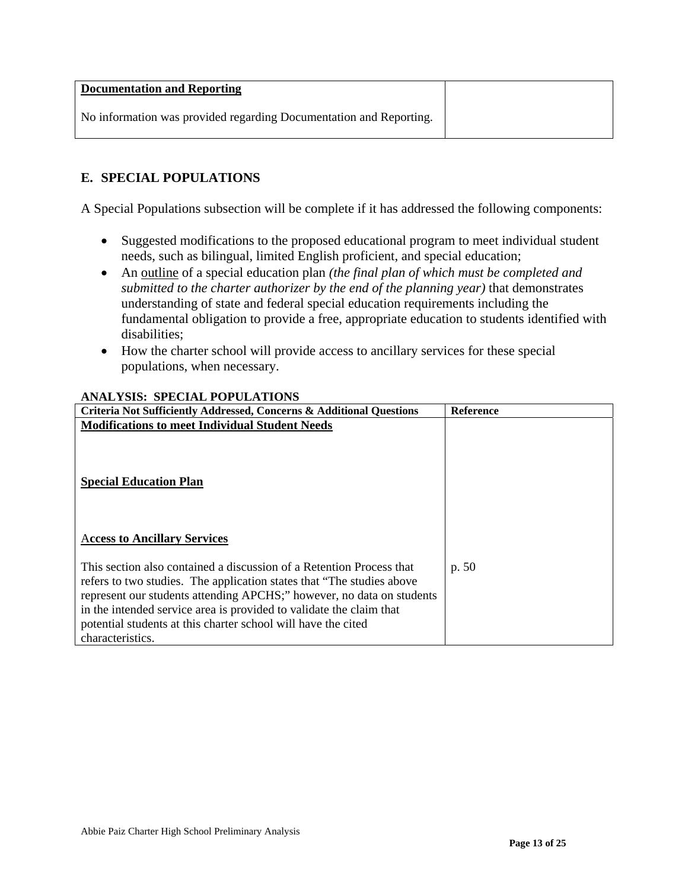| <b>Documentation and Reporting</b>                                 |  |
|--------------------------------------------------------------------|--|
| No information was provided regarding Documentation and Reporting. |  |

# **E. SPECIAL POPULATIONS**

A Special Populations subsection will be complete if it has addressed the following components:

- Suggested modifications to the proposed educational program to meet individual student needs, such as bilingual, limited English proficient, and special education;
- An outline of a special education plan *(the final plan of which must be completed and submitted to the charter authorizer by the end of the planning year)* that demonstrates understanding of state and federal special education requirements including the fundamental obligation to provide a free, appropriate education to students identified with disabilities;
- How the charter school will provide access to ancillary services for these special populations, when necessary.

| Criteria Not Sufficiently Addressed, Concerns & Additional Questions                                                                                                                                                                                                                                                                                                                | <b>Reference</b> |
|-------------------------------------------------------------------------------------------------------------------------------------------------------------------------------------------------------------------------------------------------------------------------------------------------------------------------------------------------------------------------------------|------------------|
| <b>Modifications to meet Individual Student Needs</b>                                                                                                                                                                                                                                                                                                                               |                  |
| <b>Special Education Plan</b>                                                                                                                                                                                                                                                                                                                                                       |                  |
| <b>Access to Ancillary Services</b>                                                                                                                                                                                                                                                                                                                                                 |                  |
| This section also contained a discussion of a Retention Process that<br>refers to two studies. The application states that "The studies above"<br>represent our students attending APCHS;" however, no data on students<br>in the intended service area is provided to validate the claim that<br>potential students at this charter school will have the cited<br>characteristics. | p. 50            |

#### **ANALYSIS: SPECIAL POPULATIONS**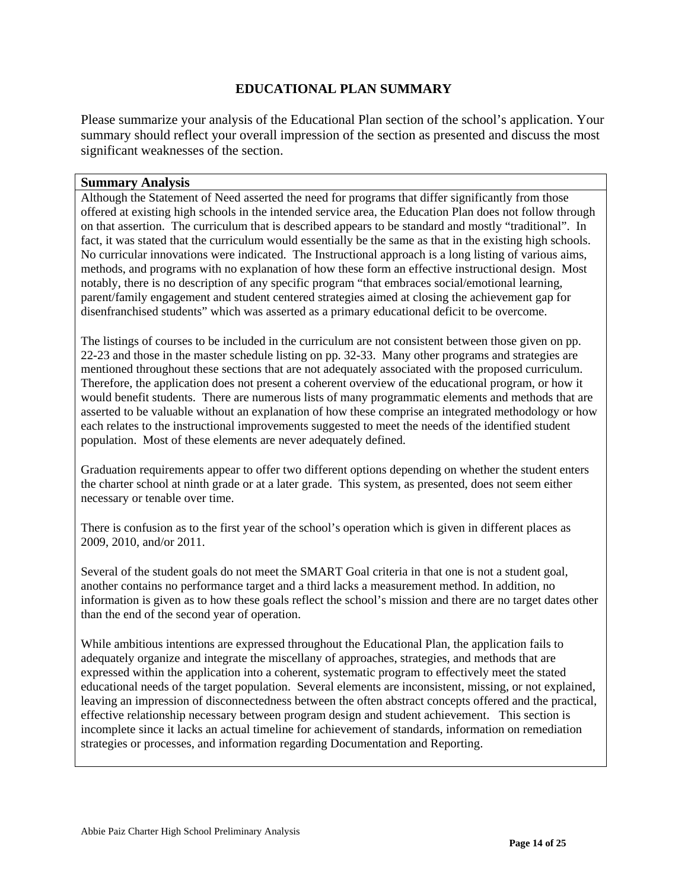### **EDUCATIONAL PLAN SUMMARY**

Please summarize your analysis of the Educational Plan section of the school's application. Your summary should reflect your overall impression of the section as presented and discuss the most significant weaknesses of the section.

#### **Summary Analysis**

Although the Statement of Need asserted the need for programs that differ significantly from those offered at existing high schools in the intended service area, the Education Plan does not follow through on that assertion. The curriculum that is described appears to be standard and mostly "traditional". In fact, it was stated that the curriculum would essentially be the same as that in the existing high schools. No curricular innovations were indicated. The Instructional approach is a long listing of various aims, methods, and programs with no explanation of how these form an effective instructional design. Most notably, there is no description of any specific program "that embraces social/emotional learning, parent/family engagement and student centered strategies aimed at closing the achievement gap for disenfranchised students" which was asserted as a primary educational deficit to be overcome.

The listings of courses to be included in the curriculum are not consistent between those given on pp. 22-23 and those in the master schedule listing on pp. 32-33. Many other programs and strategies are mentioned throughout these sections that are not adequately associated with the proposed curriculum. Therefore, the application does not present a coherent overview of the educational program, or how it would benefit students. There are numerous lists of many programmatic elements and methods that are asserted to be valuable without an explanation of how these comprise an integrated methodology or how each relates to the instructional improvements suggested to meet the needs of the identified student population. Most of these elements are never adequately defined.

Graduation requirements appear to offer two different options depending on whether the student enters the charter school at ninth grade or at a later grade. This system, as presented, does not seem either necessary or tenable over time.

There is confusion as to the first year of the school's operation which is given in different places as 2009, 2010, and/or 2011.

Several of the student goals do not meet the SMART Goal criteria in that one is not a student goal, another contains no performance target and a third lacks a measurement method. In addition, no information is given as to how these goals reflect the school's mission and there are no target dates other than the end of the second year of operation.

While ambitious intentions are expressed throughout the Educational Plan, the application fails to adequately organize and integrate the miscellany of approaches, strategies, and methods that are expressed within the application into a coherent, systematic program to effectively meet the stated educational needs of the target population. Several elements are inconsistent, missing, or not explained, leaving an impression of disconnectedness between the often abstract concepts offered and the practical, effective relationship necessary between program design and student achievement. This section is incomplete since it lacks an actual timeline for achievement of standards, information on remediation strategies or processes, and information regarding Documentation and Reporting.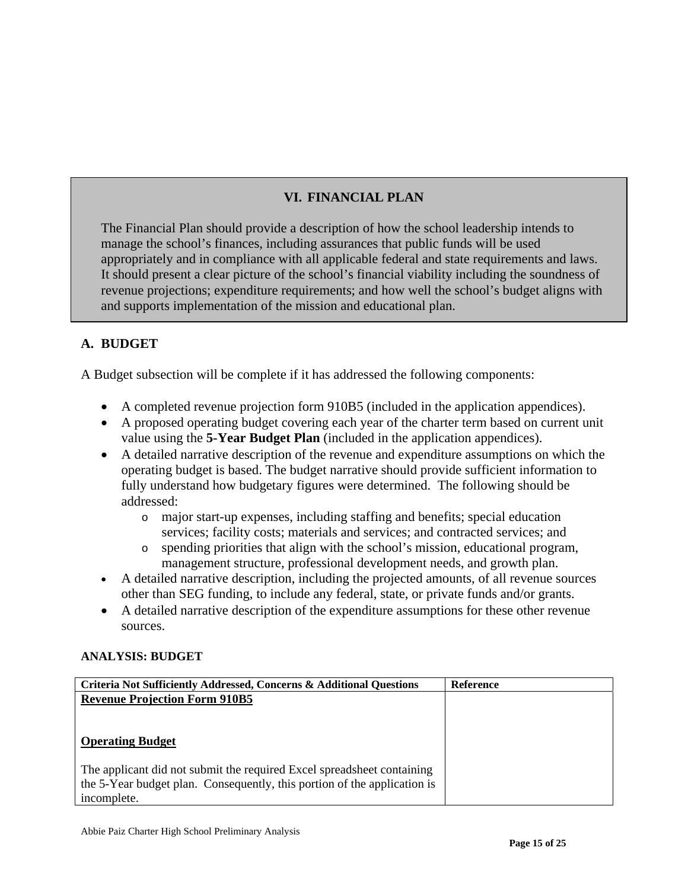# **VI. FINANCIAL PLAN**

The Financial Plan should provide a description of how the school leadership intends to manage the school's finances, including assurances that public funds will be used appropriately and in compliance with all applicable federal and state requirements and laws. It should present a clear picture of the school's financial viability including the soundness of revenue projections; expenditure requirements; and how well the school's budget aligns with and supports implementation of the mission and educational plan.

# **A. BUDGET**

A Budget subsection will be complete if it has addressed the following components:

- A completed revenue projection form 910B5 (included in the application appendices).
- A proposed operating budget covering each year of the charter term based on current unit value using the **5-Year Budget Plan** (included in the application appendices).
- A detailed narrative description of the revenue and expenditure assumptions on which the operating budget is based. The budget narrative should provide sufficient information to fully understand how budgetary figures were determined. The following should be addressed:
	- o major start-up expenses, including staffing and benefits; special education services; facility costs; materials and services; and contracted services; and
	- o spending priorities that align with the school's mission, educational program, management structure, professional development needs, and growth plan.
- A detailed narrative description, including the projected amounts, of all revenue sources other than SEG funding, to include any federal, state, or private funds and/or grants.
- A detailed narrative description of the expenditure assumptions for these other revenue sources.

# **ANALYSIS: BUDGET**

| <b>Criteria Not Sufficiently Addressed, Concerns &amp; Additional Questions</b> | Reference |
|---------------------------------------------------------------------------------|-----------|
| <b>Revenue Projection Form 910B5</b>                                            |           |
|                                                                                 |           |
|                                                                                 |           |
| <b>Operating Budget</b>                                                         |           |
|                                                                                 |           |
| The applicant did not submit the required Excel spreadsheet containing          |           |
| the 5-Year budget plan. Consequently, this portion of the application is        |           |
| incomplete.                                                                     |           |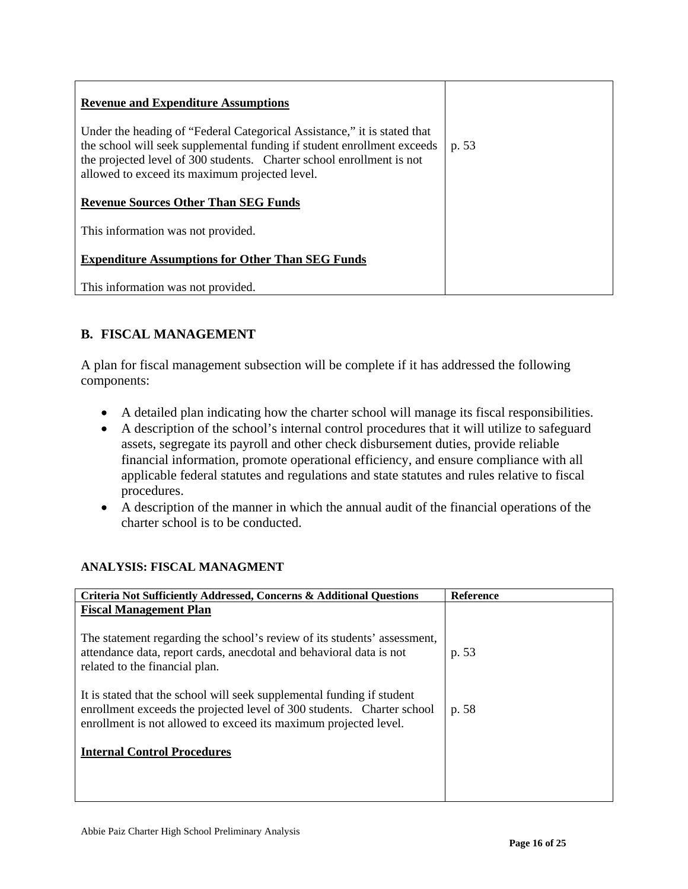| <b>Revenue and Expenditure Assumptions</b>                                                                                                                                                                                                                                     |       |
|--------------------------------------------------------------------------------------------------------------------------------------------------------------------------------------------------------------------------------------------------------------------------------|-------|
| Under the heading of "Federal Categorical Assistance," it is stated that<br>the school will seek supplemental funding if student enrollment exceeds<br>the projected level of 300 students. Charter school enrollment is not<br>allowed to exceed its maximum projected level. | p. 53 |
| <b>Revenue Sources Other Than SEG Funds</b>                                                                                                                                                                                                                                    |       |
| This information was not provided.                                                                                                                                                                                                                                             |       |
| <b>Expenditure Assumptions for Other Than SEG Funds</b>                                                                                                                                                                                                                        |       |
| This information was not provided.                                                                                                                                                                                                                                             |       |

# **B. FISCAL MANAGEMENT**

A plan for fiscal management subsection will be complete if it has addressed the following components:

- A detailed plan indicating how the charter school will manage its fiscal responsibilities.
- A description of the school's internal control procedures that it will utilize to safeguard assets, segregate its payroll and other check disbursement duties, provide reliable financial information, promote operational efficiency, and ensure compliance with all applicable federal statutes and regulations and state statutes and rules relative to fiscal procedures.
- A description of the manner in which the annual audit of the financial operations of the charter school is to be conducted.

| <b>Criteria Not Sufficiently Addressed, Concerns &amp; Additional Questions</b>                                                                                                                                      | <b>Reference</b> |
|----------------------------------------------------------------------------------------------------------------------------------------------------------------------------------------------------------------------|------------------|
| <b>Fiscal Management Plan</b>                                                                                                                                                                                        |                  |
| The statement regarding the school's review of its students' assessment,<br>attendance data, report cards, anecdotal and behavioral data is not<br>related to the financial plan.                                    | p. 53            |
| It is stated that the school will seek supplemental funding if student<br>enrollment exceeds the projected level of 300 students. Charter school<br>enrollment is not allowed to exceed its maximum projected level. | p. 58            |
| <b>Internal Control Procedures</b>                                                                                                                                                                                   |                  |
|                                                                                                                                                                                                                      |                  |

# **ANALYSIS: FISCAL MANAGMENT**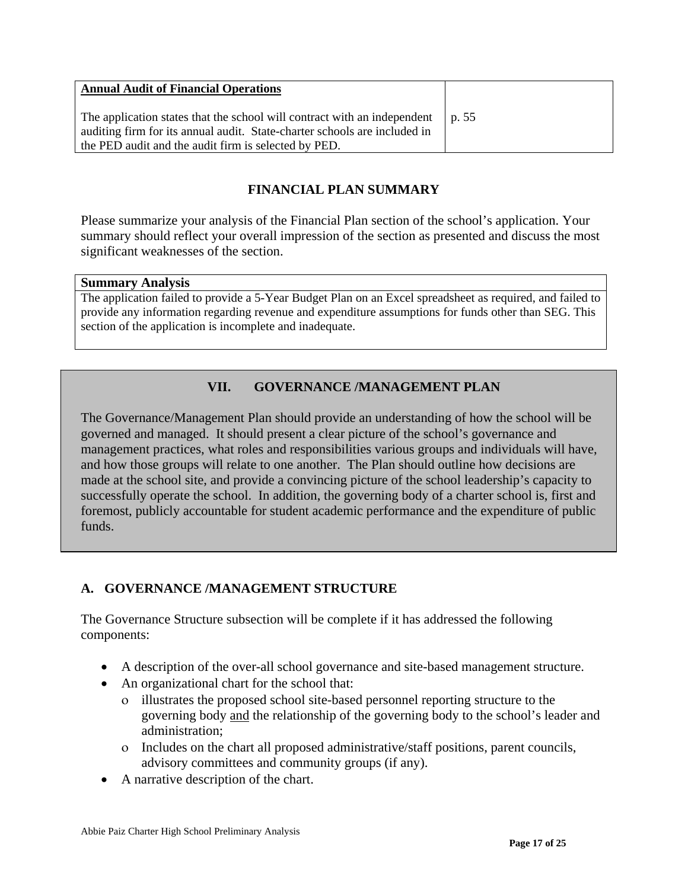| <b>Annual Audit of Financial Operations</b>                                                                                                                                                                               |  |
|---------------------------------------------------------------------------------------------------------------------------------------------------------------------------------------------------------------------------|--|
| The application states that the school will contract with an independent $\mid p.55$<br>auditing firm for its annual audit. State-charter schools are included in<br>the PED audit and the audit firm is selected by PED. |  |

# **FINANCIAL PLAN SUMMARY**

Please summarize your analysis of the Financial Plan section of the school's application. Your summary should reflect your overall impression of the section as presented and discuss the most significant weaknesses of the section.

#### **Summary Analysis**

The application failed to provide a 5-Year Budget Plan on an Excel spreadsheet as required, and failed to provide any information regarding revenue and expenditure assumptions for funds other than SEG. This section of the application is incomplete and inadequate.

# **VII. GOVERNANCE /MANAGEMENT PLAN**

The Governance/Management Plan should provide an understanding of how the school will be governed and managed. It should present a clear picture of the school's governance and management practices, what roles and responsibilities various groups and individuals will have, and how those groups will relate to one another. The Plan should outline how decisions are made at the school site, and provide a convincing picture of the school leadership's capacity to successfully operate the school. In addition, the governing body of a charter school is, first and foremost, publicly accountable for student academic performance and the expenditure of public funds.

# **A. GOVERNANCE /MANAGEMENT STRUCTURE**

The Governance Structure subsection will be complete if it has addressed the following components:

- A description of the over-all school governance and site-based management structure.
- An organizational chart for the school that:
	- ο illustrates the proposed school site-based personnel reporting structure to the governing body and the relationship of the governing body to the school's leader and administration;
	- ο Includes on the chart all proposed administrative/staff positions, parent councils, advisory committees and community groups (if any).
- A narrative description of the chart.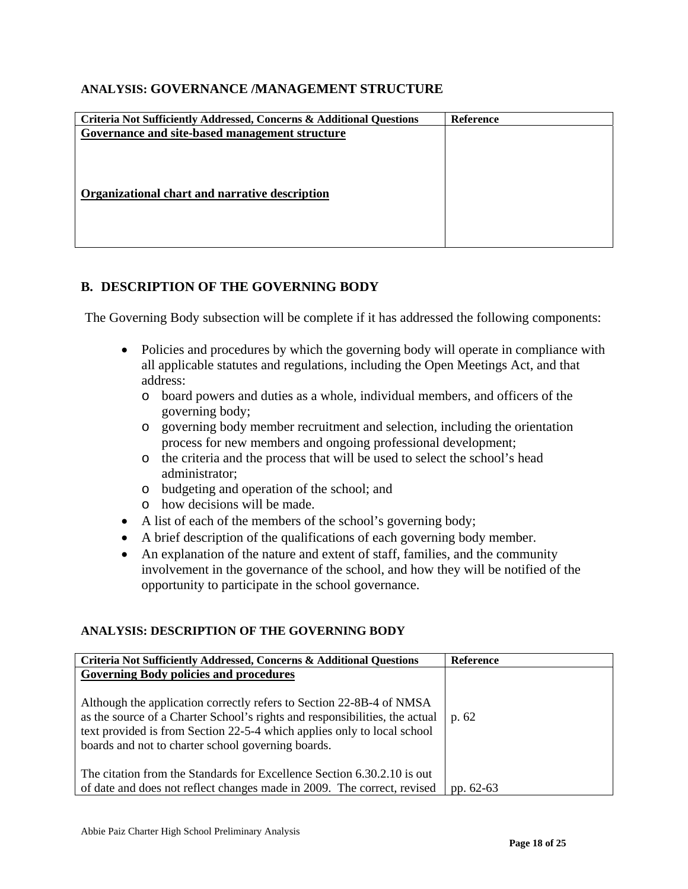## **ANALYSIS: GOVERNANCE /MANAGEMENT STRUCTURE**

| Criteria Not Sufficiently Addressed, Concerns & Additional Questions | Reference |
|----------------------------------------------------------------------|-----------|
| Governance and site-based management structure                       |           |
|                                                                      |           |
|                                                                      |           |
|                                                                      |           |
| Organizational chart and narrative description                       |           |
|                                                                      |           |
|                                                                      |           |
|                                                                      |           |
|                                                                      |           |

### **B. DESCRIPTION OF THE GOVERNING BODY**

The Governing Body subsection will be complete if it has addressed the following components:

- Policies and procedures by which the governing body will operate in compliance with all applicable statutes and regulations, including the Open Meetings Act, and that address:
	- o board powers and duties as a whole, individual members, and officers of the governing body;
	- o governing body member recruitment and selection, including the orientation process for new members and ongoing professional development;
	- o the criteria and the process that will be used to select the school's head administrator;
	- o budgeting and operation of the school; and
	- o how decisions will be made.
- A list of each of the members of the school's governing body;
- A brief description of the qualifications of each governing body member.
- An explanation of the nature and extent of staff, families, and the community involvement in the governance of the school, and how they will be notified of the opportunity to participate in the school governance.

#### **ANALYSIS: DESCRIPTION OF THE GOVERNING BODY**

| Criteria Not Sufficiently Addressed, Concerns & Additional Questions                                                                                                                                                                                                                                                                  | <b>Reference</b> |
|---------------------------------------------------------------------------------------------------------------------------------------------------------------------------------------------------------------------------------------------------------------------------------------------------------------------------------------|------------------|
| <b>Governing Body policies and procedures</b><br>Although the application correctly refers to Section 22-8B-4 of NMSA<br>as the source of a Charter School's rights and responsibilities, the actual<br>text provided is from Section 22-5-4 which applies only to local school<br>boards and not to charter school governing boards. | p. 62            |
| The citation from the Standards for Excellence Section 6.30.2.10 is out<br>of date and does not reflect changes made in 2009. The correct, revised                                                                                                                                                                                    | pp. $62-63$      |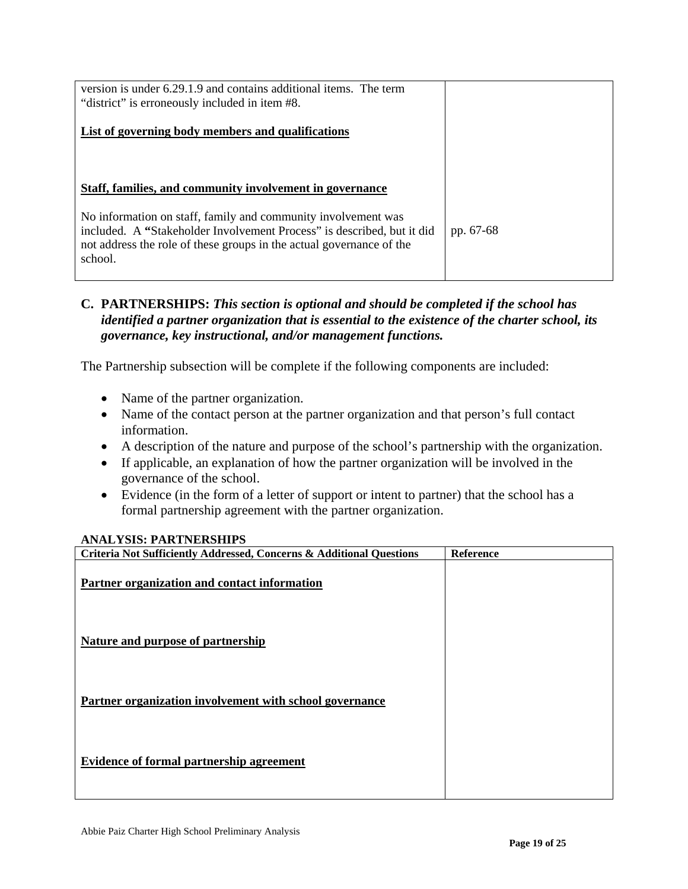| version is under 6.29.1.9 and contains additional items. The term<br>"district" is erroneously included in item #8.                                                                                                        |           |
|----------------------------------------------------------------------------------------------------------------------------------------------------------------------------------------------------------------------------|-----------|
| List of governing body members and qualifications                                                                                                                                                                          |           |
|                                                                                                                                                                                                                            |           |
| Staff, families, and community involvement in governance                                                                                                                                                                   |           |
| No information on staff, family and community involvement was<br>included. A "Stakeholder Involvement Process" is described, but it did<br>not address the role of these groups in the actual governance of the<br>school. | pp. 67-68 |

# **C. PARTNERSHIPS:** *This section is optional and should be completed if the school has identified a partner organization that is essential to the existence of the charter school, its governance, key instructional, and/or management functions.*

The Partnership subsection will be complete if the following components are included:

- Name of the partner organization.
- Name of the contact person at the partner organization and that person's full contact information.
- A description of the nature and purpose of the school's partnership with the organization.
- If applicable, an explanation of how the partner organization will be involved in the governance of the school.
- Evidence (in the form of a letter of support or intent to partner) that the school has a formal partnership agreement with the partner organization.

#### **ANALYSIS: PARTNERSHIPS**

| Criteria Not Sufficiently Addressed, Concerns & Additional Questions | <b>Reference</b> |
|----------------------------------------------------------------------|------------------|
| Partner organization and contact information                         |                  |
| <b>Nature and purpose of partnership</b>                             |                  |
| Partner organization involvement with school governance              |                  |
| <b>Evidence of formal partnership agreement</b>                      |                  |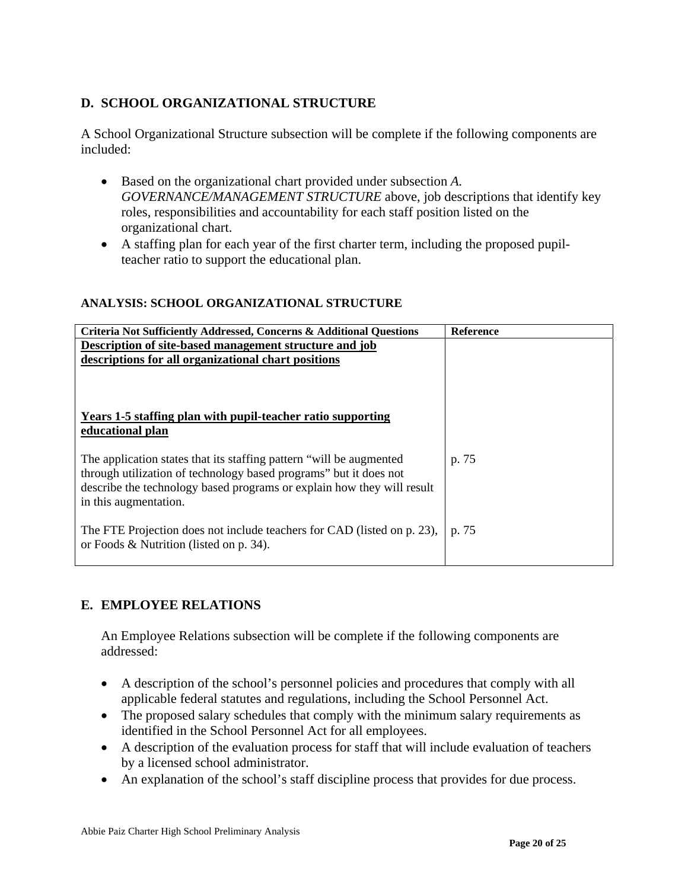# **D. SCHOOL ORGANIZATIONAL STRUCTURE**

A School Organizational Structure subsection will be complete if the following components are included:

- Based on the organizational chart provided under subsection *A. GOVERNANCE/MANAGEMENT STRUCTURE* above, job descriptions that identify key roles, responsibilities and accountability for each staff position listed on the organizational chart.
- A staffing plan for each year of the first charter term, including the proposed pupilteacher ratio to support the educational plan.

### **ANALYSIS: SCHOOL ORGANIZATIONAL STRUCTURE**

| Criteria Not Sufficiently Addressed, Concerns & Additional Questions    | <b>Reference</b> |
|-------------------------------------------------------------------------|------------------|
| Description of site-based management structure and job                  |                  |
| descriptions for all organizational chart positions                     |                  |
|                                                                         |                  |
|                                                                         |                  |
|                                                                         |                  |
| Years 1-5 staffing plan with pupil-teacher ratio supporting             |                  |
| educational plan                                                        |                  |
|                                                                         |                  |
| The application states that its staffing pattern "will be augmented     | p. 75            |
| through utilization of technology based programs" but it does not       |                  |
| describe the technology based programs or explain how they will result  |                  |
| in this augmentation.                                                   |                  |
|                                                                         |                  |
| The FTE Projection does not include teachers for CAD (listed on p. 23), | p. 75            |
| or Foods $&$ Nutrition (listed on p. 34).                               |                  |
|                                                                         |                  |
|                                                                         |                  |

# **E. EMPLOYEE RELATIONS**

An Employee Relations subsection will be complete if the following components are addressed:

- A description of the school's personnel policies and procedures that comply with all applicable federal statutes and regulations, including the School Personnel Act.
- The proposed salary schedules that comply with the minimum salary requirements as identified in the School Personnel Act for all employees.
- A description of the evaluation process for staff that will include evaluation of teachers by a licensed school administrator.
- An explanation of the school's staff discipline process that provides for due process.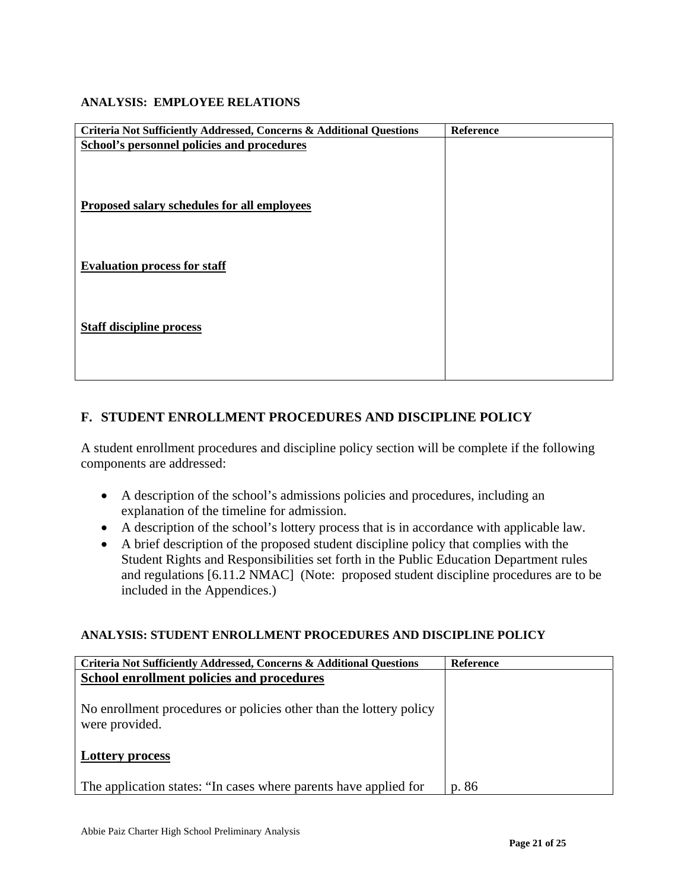### **ANALYSIS: EMPLOYEE RELATIONS**

| Criteria Not Sufficiently Addressed, Concerns & Additional Questions | Reference |
|----------------------------------------------------------------------|-----------|
| School's personnel policies and procedures                           |           |
|                                                                      |           |
|                                                                      |           |
|                                                                      |           |
| Proposed salary schedules for all employees                          |           |
|                                                                      |           |
|                                                                      |           |
|                                                                      |           |
|                                                                      |           |
| <b>Evaluation process for staff</b>                                  |           |
|                                                                      |           |
|                                                                      |           |
|                                                                      |           |
| <b>Staff discipline process</b>                                      |           |
|                                                                      |           |
|                                                                      |           |
|                                                                      |           |
|                                                                      |           |

# **F. STUDENT ENROLLMENT PROCEDURES AND DISCIPLINE POLICY**

A student enrollment procedures and discipline policy section will be complete if the following components are addressed:

- A description of the school's admissions policies and procedures, including an explanation of the timeline for admission.
- A description of the school's lottery process that is in accordance with applicable law.
- A brief description of the proposed student discipline policy that complies with the Student Rights and Responsibilities set forth in the Public Education Department rules and regulations [6.11.2 NMAC] (Note: proposed student discipline procedures are to be included in the Appendices.)

### **ANALYSIS: STUDENT ENROLLMENT PROCEDURES AND DISCIPLINE POLICY**

| <b>Criteria Not Sufficiently Addressed, Concerns &amp; Additional Questions</b>      | <b>Reference</b> |
|--------------------------------------------------------------------------------------|------------------|
| School enrollment policies and procedures                                            |                  |
| No enrollment procedures or policies other than the lottery policy<br>were provided. |                  |
| <b>Lottery process</b>                                                               |                  |
| The application states: "In cases where parents have applied for                     | p. 86            |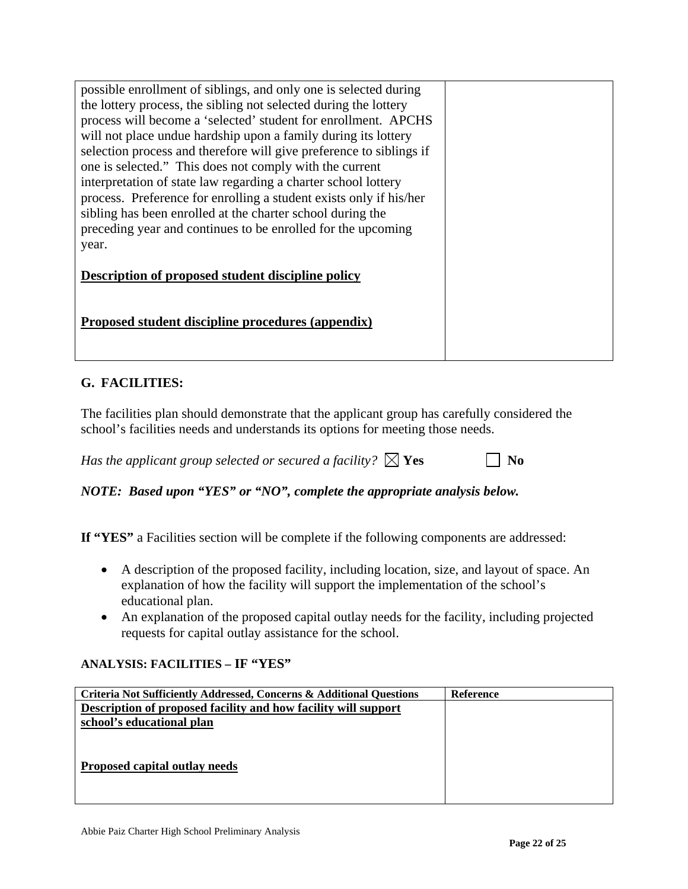| possible enrollment of siblings, and only one is selected during<br>the lottery process, the sibling not selected during the lottery<br>process will become a 'selected' student for enrollment. APCHS<br>will not place undue hardship upon a family during its lottery<br>selection process and therefore will give preference to siblings if<br>one is selected." This does not comply with the current<br>interpretation of state law regarding a charter school lottery<br>process. Preference for enrolling a student exists only if his/her<br>sibling has been enrolled at the charter school during the<br>preceding year and continues to be enrolled for the upcoming<br>year. |  |
|-------------------------------------------------------------------------------------------------------------------------------------------------------------------------------------------------------------------------------------------------------------------------------------------------------------------------------------------------------------------------------------------------------------------------------------------------------------------------------------------------------------------------------------------------------------------------------------------------------------------------------------------------------------------------------------------|--|
| <b>Description of proposed student discipline policy</b><br>Proposed student discipline procedures (appendix)                                                                                                                                                                                                                                                                                                                                                                                                                                                                                                                                                                             |  |
|                                                                                                                                                                                                                                                                                                                                                                                                                                                                                                                                                                                                                                                                                           |  |

# **G. FACILITIES:**

The facilities plan should demonstrate that the applicant group has carefully considered the school's facilities needs and understands its options for meeting those needs.

*Has the applicant group selected or secured a facility?*  $\boxtimes$  **Yes**  $\Box$  **No** 

*NOTE: Based upon "YES" or "NO", complete the appropriate analysis below.* 

**If "YES"** a Facilities section will be complete if the following components are addressed:

- A description of the proposed facility, including location, size, and layout of space. An explanation of how the facility will support the implementation of the school's educational plan.
- An explanation of the proposed capital outlay needs for the facility, including projected requests for capital outlay assistance for the school.

# **ANALYSIS: FACILITIES – IF "YES"**

| Criteria Not Sufficiently Addressed, Concerns & Additional Questions | <b>Reference</b> |
|----------------------------------------------------------------------|------------------|
| Description of proposed facility and how facility will support       |                  |
| school's educational plan                                            |                  |
|                                                                      |                  |
|                                                                      |                  |
| Proposed capital outlay needs                                        |                  |
|                                                                      |                  |
|                                                                      |                  |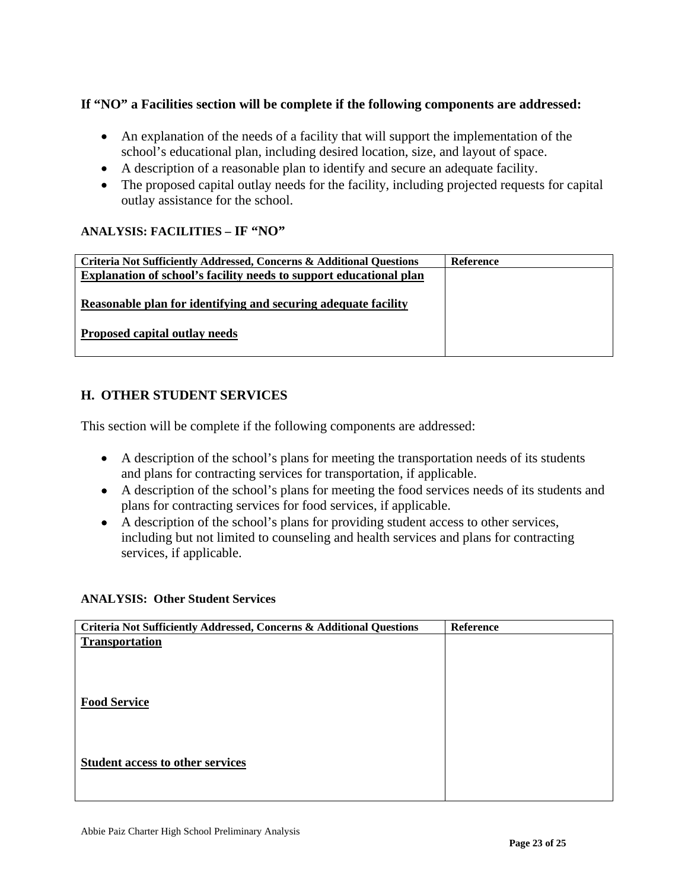# **If "NO" a Facilities section will be complete if the following components are addressed:**

- An explanation of the needs of a facility that will support the implementation of the school's educational plan, including desired location, size, and layout of space.
- A description of a reasonable plan to identify and secure an adequate facility.
- The proposed capital outlay needs for the facility, including projected requests for capital outlay assistance for the school.

# **ANALYSIS: FACILITIES – IF "NO"**

| <b>Criteria Not Sufficiently Addressed, Concerns &amp; Additional Questions</b> | <b>Reference</b> |
|---------------------------------------------------------------------------------|------------------|
| Explanation of school's facility needs to support educational plan              |                  |
|                                                                                 |                  |
| Reasonable plan for identifying and securing adequate facility                  |                  |
|                                                                                 |                  |
| Proposed capital outlay needs                                                   |                  |
|                                                                                 |                  |

# **H. OTHER STUDENT SERVICES**

This section will be complete if the following components are addressed:

- A description of the school's plans for meeting the transportation needs of its students and plans for contracting services for transportation, if applicable.
- A description of the school's plans for meeting the food services needs of its students and plans for contracting services for food services, if applicable.
- A description of the school's plans for providing student access to other services, including but not limited to counseling and health services and plans for contracting services, if applicable.

### **ANALYSIS: Other Student Services**

| Criteria Not Sufficiently Addressed, Concerns & Additional Questions | Reference |
|----------------------------------------------------------------------|-----------|
| <b>Transportation</b>                                                |           |
|                                                                      |           |
|                                                                      |           |
|                                                                      |           |
| <b>Food Service</b>                                                  |           |
|                                                                      |           |
|                                                                      |           |
| <b>Student access to other services</b>                              |           |
|                                                                      |           |
|                                                                      |           |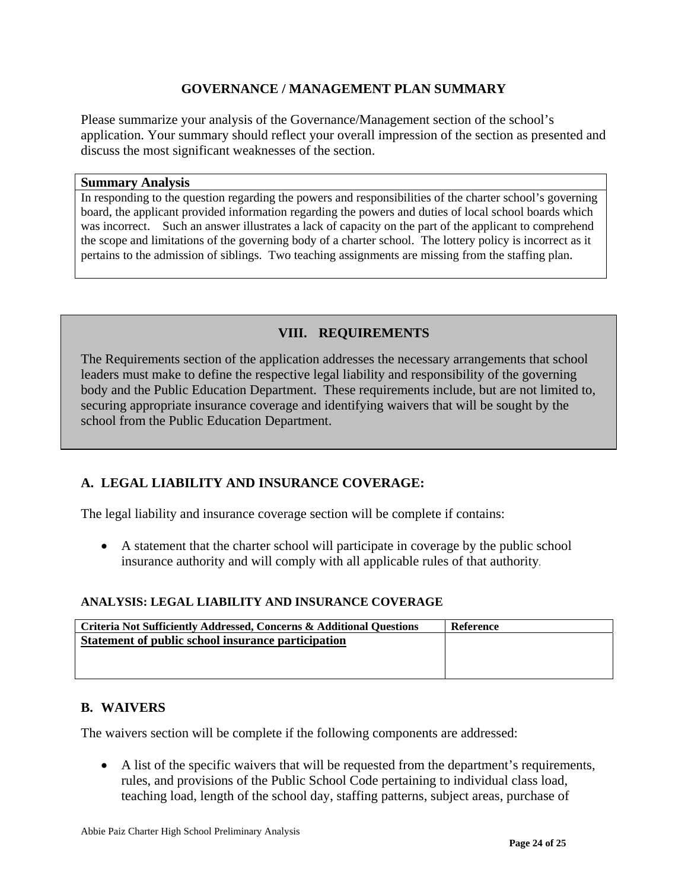# **GOVERNANCE / MANAGEMENT PLAN SUMMARY**

Please summarize your analysis of the Governance/Management section of the school's application. Your summary should reflect your overall impression of the section as presented and discuss the most significant weaknesses of the section.

#### **Summary Analysis**

In responding to the question regarding the powers and responsibilities of the charter school's governing board, the applicant provided information regarding the powers and duties of local school boards which was incorrect. Such an answer illustrates a lack of capacity on the part of the applicant to comprehend the scope and limitations of the governing body of a charter school. The lottery policy is incorrect as it pertains to the admission of siblings. Two teaching assignments are missing from the staffing plan.

# **VIII. REQUIREMENTS**

The Requirements section of the application addresses the necessary arrangements that school leaders must make to define the respective legal liability and responsibility of the governing body and the Public Education Department. These requirements include, but are not limited to, securing appropriate insurance coverage and identifying waivers that will be sought by the school from the Public Education Department.

# **A. LEGAL LIABILITY AND INSURANCE COVERAGE:**

The legal liability and insurance coverage section will be complete if contains:

• A statement that the charter school will participate in coverage by the public school insurance authority and will comply with all applicable rules of that authority.

### **ANALYSIS: LEGAL LIABILITY AND INSURANCE COVERAGE**

| <b>Criteria Not Sufficiently Addressed, Concerns &amp; Additional Questions</b> | Reference |
|---------------------------------------------------------------------------------|-----------|
| Statement of public school insurance participation                              |           |
|                                                                                 |           |
|                                                                                 |           |

# **B. WAIVERS**

The waivers section will be complete if the following components are addressed:

• A list of the specific waivers that will be requested from the department's requirements, rules, and provisions of the Public School Code pertaining to individual class load, teaching load, length of the school day, staffing patterns, subject areas, purchase of